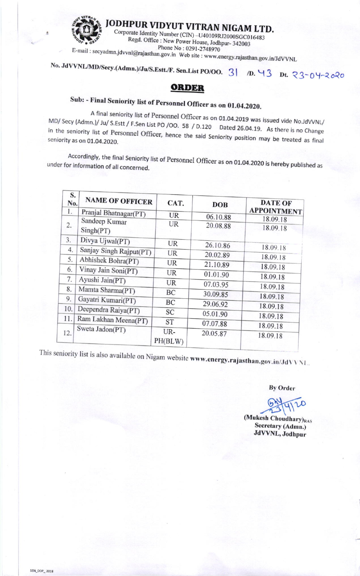

JODHPUR VIDYUT VITRAN NIGAM LTD.

Corporate Identity Number (CIN) -U40109RJ2000SGC016483 Regd. Office : New Power House, Jodhpur- 342003 Phone No: 0291-2748970

E-mail: secyadmn.jdvvnl@rajasthan.gov.in Web site: www.energy.rajasthan.gov.in/JdVVNL

No. JdVVNL/MD/Secy.(Admn.)/Ju/S.Estt./F. Sen.List PO/OO. 3 | /D. 43 Dt. 23-04-2020

## ORDER

## Sub: - Final Seniority list of Personnel Officer as on 01.04.2020.

A final seniority list of Personnel Officer as on 01.04.2019 was issued vide No.JdVVNL/ MD/Secy (Admn.)/ Ju/S.Estt / F.Sen List PO / OO. 58 / D.120 Dated 26.04.19. As there is no Change in the seniority list of Personnel Officer, hence the said Seniority position may be treated as final seniority as on 01.04.2020.

Accordingly, the final Seniority list of Personnel Officer as on 01.04.2020 is hereby published as under for information of all concerned.

| S.<br>No. | <b>NAME OF OFFICER</b>     | CAT.      | <b>DOB</b> | <b>DATE OF</b>       |
|-----------|----------------------------|-----------|------------|----------------------|
| 1.        | Pranjal Bhatnagar(PT)      | <b>UR</b> | 06.10.88   | <b>APPOINTMENT</b>   |
| 2.        | Sandeep Kumar<br>Singh(PT) | UR        | 20.08.88   | 18.09.18<br>18.09.18 |
| 3.        | Divya Ujwal(PT)            | UR        | 26.10.86   | 18.09.18             |
| 4.        | Sanjay Singh Rajput(PT)    | <b>UR</b> | 20.02.89   | 18.09.18             |
| 5.        | Abhishek Bohra(PT)         | <b>UR</b> | 21.10.89   |                      |
| 6.        | Vinay Jain Soni(PT)        | UR        | 01.01.90   | 18.09.18             |
| 7.        | Ayushi Jain(PT)            | UR        |            | 18.09.18             |
| 8.        | Mamta Sharma(PT)           |           | 07.03.95   | 18.09.18             |
| 9.        | Gayatri Kumari(PT)         | BC        | 30.09.85   | 18.09.18             |
| 10.       |                            | BC        | 29.06.92   | 18.09.18             |
|           | Deependra Raiya(PT)        | SC        | 05.01.90   | 18.09.18             |
| 11.       | Ram Lakhan Meena(PT)       | <b>ST</b> | 07.07.88   | 18.09.18             |
| 12.       | Sweta Jadon(PT)            | UR-       | 20.05.87   |                      |
|           |                            | PH(BLW)   |            | 18.09.18             |

This seniority list is also available on Nigam website www.energy.rajasthan.gov.in/JdVVNL.

**By Order** 

(Mukesh Choudhary)RAS Secretary (Admn.) JdVVNL, Jodhpur